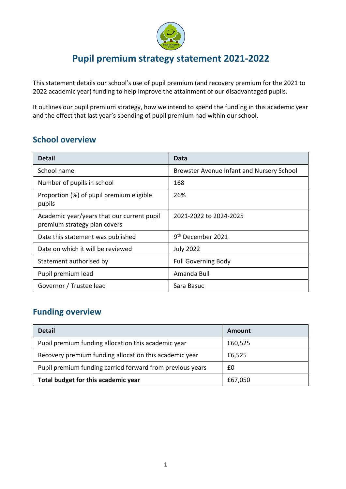

# **Pupil premium strategy statement 2021-2022**

This statement details our school's use of pupil premium (and recovery premium for the 2021 to 2022 academic year) funding to help improve the attainment of our disadvantaged pupils.

It outlines our pupil premium strategy, how we intend to spend the funding in this academic year and the effect that last year's spending of pupil premium had within our school.

#### **School overview**

| <b>Detail</b>                                                              | Data                                      |
|----------------------------------------------------------------------------|-------------------------------------------|
| School name                                                                | Brewster Avenue Infant and Nursery School |
| Number of pupils in school                                                 | 168                                       |
| Proportion (%) of pupil premium eligible<br>pupils                         | 26%                                       |
| Academic year/years that our current pupil<br>premium strategy plan covers | 2021-2022 to 2024-2025                    |
| Date this statement was published                                          | 9 <sup>th</sup> December 2021             |
| Date on which it will be reviewed                                          | <b>July 2022</b>                          |
| Statement authorised by                                                    | <b>Full Governing Body</b>                |
| Pupil premium lead                                                         | Amanda Bull                               |
| Governor / Trustee lead                                                    | Sara Basuc                                |

#### **Funding overview**

| <b>Detail</b>                                             | <b>Amount</b> |
|-----------------------------------------------------------|---------------|
| Pupil premium funding allocation this academic year       | £60,525       |
| Recovery premium funding allocation this academic year    | £6,525        |
| Pupil premium funding carried forward from previous years | £0            |
| Total budget for this academic year                       | £67,050       |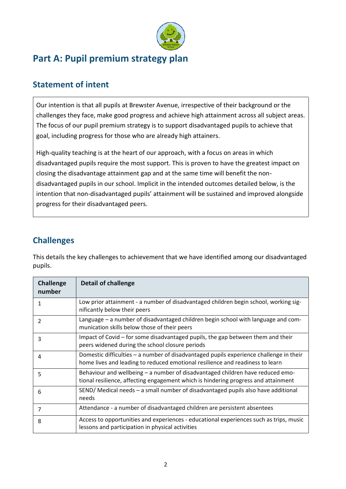

# **Part A: Pupil premium strategy plan**

## **Statement of intent**

Our intention is that all pupils at Brewster Avenue, irrespective of their background or the challenges they face, make good progress and achieve high attainment across all subject areas. The focus of our pupil premium strategy is to support disadvantaged pupils to achieve that goal, including progress for those who are already high attainers.

High-quality teaching is at the heart of our approach, with a focus on areas in which disadvantaged pupils require the most support. This is proven to have the greatest impact on closing the disadvantage attainment gap and at the same time will benefit the nondisadvantaged pupils in our school. Implicit in the intended outcomes detailed below, is the intention that non-disadvantaged pupils' attainment will be sustained and improved alongside progress for their disadvantaged peers.

### **Challenges**

This details the key challenges to achievement that we have identified among our disadvantaged pupils.

| <b>Challenge</b><br>number | <b>Detail of challenge</b>                                                                                                                                              |
|----------------------------|-------------------------------------------------------------------------------------------------------------------------------------------------------------------------|
|                            | Low prior attainment - a number of disadvantaged children begin school, working sig-<br>nificantly below their peers                                                    |
| 2                          | Language – a number of disadvantaged children begin school with language and com-<br>munication skills below those of their peers                                       |
| 3                          | Impact of Covid – for some disadvantaged pupils, the gap between them and their<br>peers widened during the school closure periods                                      |
| 4                          | Domestic difficulties – a number of disadvantaged pupils experience challenge in their<br>home lives and leading to reduced emotional resilience and readiness to learn |
| 5                          | Behaviour and wellbeing - a number of disadvantaged children have reduced emo-<br>tional resilience, affecting engagement which is hindering progress and attainment    |
| 6                          | SEND/ Medical needs - a small number of disadvantaged pupils also have additional<br>needs                                                                              |
| 7                          | Attendance - a number of disadvantaged children are persistent absentees                                                                                                |
| 8                          | Access to opportunities and experiences - educational experiences such as trips, music<br>lessons and participation in physical activities                              |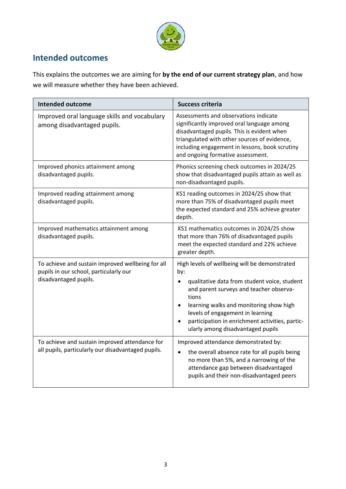

#### **Intended outcomes**

This explains the outcomes we are aiming for **by the end of our current strategy plan**, and how we will measure whether they have been achieved.

| <b>Intended outcome</b>                                                                                              | <b>Success criteria</b>                                                                                                                                                                                                                                                                                                                                                |
|----------------------------------------------------------------------------------------------------------------------|------------------------------------------------------------------------------------------------------------------------------------------------------------------------------------------------------------------------------------------------------------------------------------------------------------------------------------------------------------------------|
| Improved oral language skills and vocabulary<br>among disadvantaged pupils.                                          | Assessments and observations indicate<br>significantly improved oral language among<br>disadvantaged pupils. This is evident when<br>triangulated with other sources of evidence,<br>including engagement in lessons, book scrutiny<br>and ongoing formative assessment.                                                                                               |
| Improved phonics attainment among<br>disadvantaged pupils.                                                           | Phonics screening check outcomes in 2024/25<br>show that disadvantaged pupils attain as well as<br>non-disadvantaged pupils.                                                                                                                                                                                                                                           |
| Improved reading attainment among<br>disadvantaged pupils.                                                           | KS1 reading outcomes in 2024/25 show that<br>more than 75% of disadvantaged pupils meet<br>the expected standard and 25% achieve greater<br>depth.                                                                                                                                                                                                                     |
| Improved mathematics attainment among<br>disadvantaged pupils.                                                       | KS1 mathematics outcomes in 2024/25 show<br>that more than 76% of disadvantaged pupils<br>meet the expected standard and 22% achieve<br>greater depth.                                                                                                                                                                                                                 |
| To achieve and sustain improved wellbeing for all<br>pupils in our school, particularly our<br>disadvantaged pupils. | High levels of wellbeing will be demonstrated<br>by:<br>qualitative data from student voice, student<br>$\bullet$<br>and parent surveys and teacher observa-<br>tions<br>learning walks and monitoring show high<br>$\bullet$<br>levels of engagement in learning<br>participation in enrichment activities, partic-<br>$\bullet$<br>ularly among disadvantaged pupils |
| To achieve and sustain improved attendance for<br>all pupils, particularly our disadvantaged pupils.                 | Improved attendance demonstrated by:<br>the overall absence rate for all pupils being<br>$\bullet$<br>no more than 5%, and a narrowing of the<br>attendance gap between disadvantaged<br>pupils and their non-disadvantaged peers                                                                                                                                      |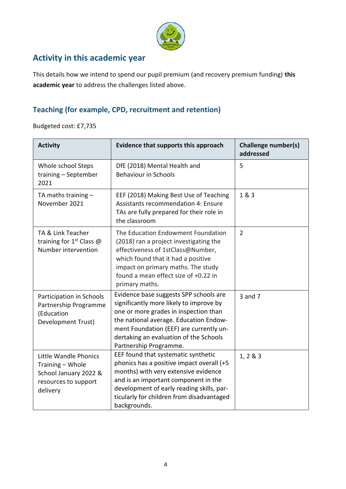

## **Activity in this academic year**

This details how we intend to spend our pupil premium (and recovery premium funding) **this academic year** to address the challenges listed above.

#### **Teaching (for example, CPD, recruitment and retention)**

Budgeted cost: £7,735

| <b>Activity</b>                                                                                        | Evidence that supports this approach                                                                                                                                                                                                                                                | <b>Challenge number(s)</b><br>addressed |
|--------------------------------------------------------------------------------------------------------|-------------------------------------------------------------------------------------------------------------------------------------------------------------------------------------------------------------------------------------------------------------------------------------|-----------------------------------------|
| Whole school Steps<br>training - September<br>2021                                                     | DfE (2018) Mental Health and<br><b>Behaviour in Schools</b>                                                                                                                                                                                                                         | 5                                       |
| TA maths training $-$<br>November 2021                                                                 | EEF (2018) Making Best Use of Teaching<br><b>Assistants recommendation 4: Ensure</b><br>TAs are fully prepared for their role in<br>the classroom                                                                                                                                   | 1 & 3                                   |
| TA & Link Teacher<br>training for $1st$ Class @<br>Number intervention                                 | The Education Endowment Foundation<br>(2018) ran a project investigating the<br>effectiveness of 1stClass@Number,<br>which found that it had a positive<br>impact on primary maths. The study<br>found a mean effect size of +0.22 in<br>primary maths.                             | $\overline{2}$                          |
| Participation in Schools<br>Partnership Programme<br>(Education<br>Development Trust)                  | Evidence base suggests SPP schools are<br>significantly more likely to improve by<br>one or more grades in inspection than<br>the national average. Education Endow-<br>ment Foundation (EEF) are currently un-<br>dertaking an evaluation of the Schools<br>Partnership Programme. | $3$ and $7$                             |
| Little Wandle Phonics<br>Training - Whole<br>School January 2022 &<br>resources to support<br>delivery | EEF found that systematic synthetic<br>phonics has a positive impact overall (+5<br>months) with very extensive evidence<br>and is an important component in the<br>development of early reading skills, par-<br>ticularly for children from disadvantaged<br>backgrounds.          | 1, 2 & 8 & 3                            |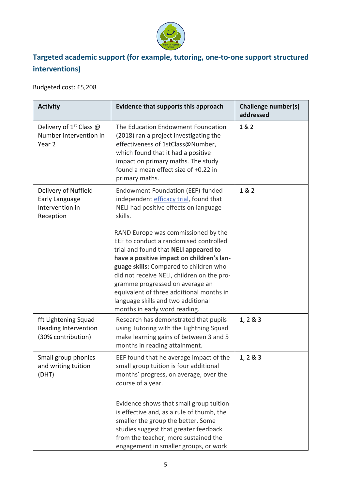

## **Targeted academic support (for example, tutoring, one-to-one support structured interventions)**

Budgeted cost: £5,208

| <b>Activity</b>                                                        | Evidence that supports this approach                                                                                                                                                                                                                                                                                                                                                                                                                                                                                | <b>Challenge number(s)</b><br>addressed |
|------------------------------------------------------------------------|---------------------------------------------------------------------------------------------------------------------------------------------------------------------------------------------------------------------------------------------------------------------------------------------------------------------------------------------------------------------------------------------------------------------------------------------------------------------------------------------------------------------|-----------------------------------------|
| Delivery of $1^{st}$ Class @<br>Number intervention in<br>Year 2       | The Education Endowment Foundation<br>(2018) ran a project investigating the<br>effectiveness of 1stClass@Number,<br>which found that it had a positive<br>impact on primary maths. The study<br>found a mean effect size of +0.22 in<br>primary maths.                                                                                                                                                                                                                                                             | 1 & 2                                   |
| Delivery of Nuffield<br>Early Language<br>Intervention in<br>Reception | Endowment Foundation (EEF)-funded<br>independent efficacy trial, found that<br>NELI had positive effects on language<br>skills.<br>RAND Europe was commissioned by the<br>EEF to conduct a randomised controlled<br>trial and found that NELI appeared to<br>have a positive impact on children's lan-<br>guage skills: Compared to children who<br>did not receive NELI, children on the pro-<br>gramme progressed on average an<br>equivalent of three additional months in<br>language skills and two additional | 1 & 2                                   |
| fft Lightening Squad<br>Reading Intervention<br>(30% contribution)     | months in early word reading.<br>Research has demonstrated that pupils<br>using Tutoring with the Lightning Squad<br>make learning gains of between 3 and 5<br>months in reading attainment.                                                                                                                                                                                                                                                                                                                        | 1, 2 & 8 & 3                            |
| Small group phonics<br>and writing tuition<br>(DHT)                    | EEF found that he average impact of the<br>small group tuition is four additional<br>months' progress, on average, over the<br>course of a year.<br>Evidence shows that small group tuition<br>is effective and, as a rule of thumb, the<br>smaller the group the better. Some<br>studies suggest that greater feedback<br>from the teacher, more sustained the<br>engagement in smaller groups, or work                                                                                                            | 1, 2 & 8 & 3                            |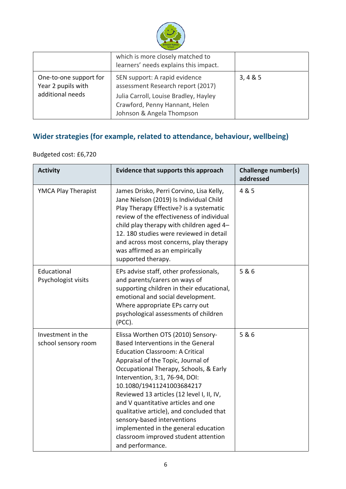

|                                                                  | which is more closely matched to<br>learners' needs explains this impact.                                                                                                  |          |
|------------------------------------------------------------------|----------------------------------------------------------------------------------------------------------------------------------------------------------------------------|----------|
| One-to-one support for<br>Year 2 pupils with<br>additional needs | SEN support: A rapid evidence<br>assessment Research report (2017)<br>Julia Carroll, Louise Bradley, Hayley<br>Crawford, Penny Hannant, Helen<br>Johnson & Angela Thompson | 3, 4 & 5 |

## **Wider strategies (for example, related to attendance, behaviour, wellbeing)**

#### Budgeted cost: £6,720

| <b>Activity</b>                          | Evidence that supports this approach                                                                                                                                                                                                                                                                                                                                                                                                                                                                                                 | <b>Challenge number(s)</b><br>addressed |
|------------------------------------------|--------------------------------------------------------------------------------------------------------------------------------------------------------------------------------------------------------------------------------------------------------------------------------------------------------------------------------------------------------------------------------------------------------------------------------------------------------------------------------------------------------------------------------------|-----------------------------------------|
| YMCA Play Therapist                      | James Drisko, Perri Corvino, Lisa Kelly,<br>Jane Nielson (2019) Is Individual Child<br>Play Therapy Effective? is a systematic<br>review of the effectiveness of individual<br>child play therapy with children aged 4-<br>12. 180 studies were reviewed in detail<br>and across most concerns, play therapy<br>was affirmed as an empirically<br>supported therapy.                                                                                                                                                                 | 4 & 5                                   |
| Educational<br>Psychologist visits       | EPs advise staff, other professionals,<br>and parents/carers on ways of<br>supporting children in their educational,<br>emotional and social development.<br>Where appropriate EPs carry out<br>psychological assessments of children<br>(PCC).                                                                                                                                                                                                                                                                                      | 5 & 6                                   |
| Investment in the<br>school sensory room | Elissa Worthen OTS (2010) Sensory-<br>Based Interventions in the General<br><b>Education Classroom: A Critical</b><br>Appraisal of the Topic, Journal of<br>Occupational Therapy, Schools, & Early<br>Intervention, 3:1, 76-94, DOI:<br>10.1080/19411241003684217<br>Reviewed 13 articles (12 level I, II, IV,<br>and V quantitative articles and one<br>qualitative article), and concluded that<br>sensory-based interventions<br>implemented in the general education<br>classroom improved student attention<br>and performance. | 5 & 6                                   |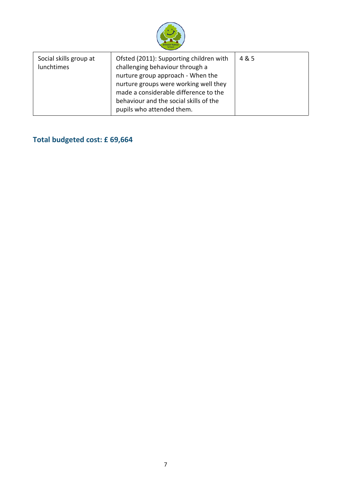

| Social skills group at<br>lunchtimes | Ofsted (2011): Supporting children with<br>challenging behaviour through a<br>nurture group approach - When the<br>nurture groups were working well they<br>made a considerable difference to the<br>behaviour and the social skills of the<br>pupils who attended them. | 4 & 5 |
|--------------------------------------|--------------------------------------------------------------------------------------------------------------------------------------------------------------------------------------------------------------------------------------------------------------------------|-------|
|--------------------------------------|--------------------------------------------------------------------------------------------------------------------------------------------------------------------------------------------------------------------------------------------------------------------------|-------|

# **Total budgeted cost: £ 69,664**